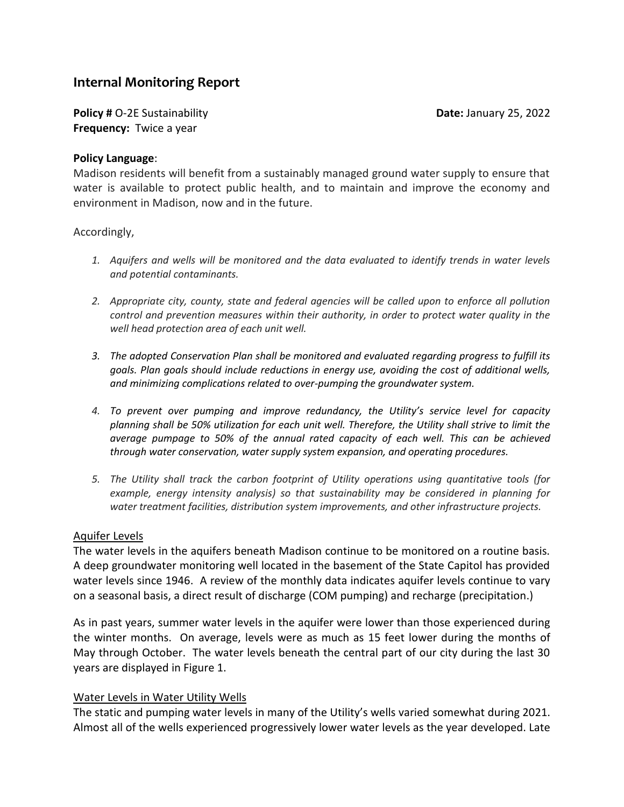# **Internal Monitoring Report**

**Policy #** O-2E Sustainability **Date:** January 25, 2022 **Frequency:** Twice a year

### **Policy Language**:

Madison residents will benefit from a sustainably managed ground water supply to ensure that water is available to protect public health, and to maintain and improve the economy and environment in Madison, now and in the future.

### Accordingly,

- *1. Aquifers and wells will be monitored and the data evaluated to identify trends in water levels and potential contaminants.*
- *2. Appropriate city, county, state and federal agencies will be called upon to enforce all pollution control and prevention measures within their authority, in order to protect water quality in the well head protection area of each unit well.*
- *3. The adopted Conservation Plan shall be monitored and evaluated regarding progress to fulfill its goals. Plan goals should include reductions in energy use, avoiding the cost of additional wells, and minimizing complications related to over-pumping the groundwater system.*
- *4. To prevent over pumping and improve redundancy, the Utility's service level for capacity planning shall be 50% utilization for each unit well. Therefore, the Utility shall strive to limit the average pumpage to 50% of the annual rated capacity of each well. This can be achieved through water conservation, water supply system expansion, and operating procedures.*
- *5. The Utility shall track the carbon footprint of Utility operations using quantitative tools (for example, energy intensity analysis) so that sustainability may be considered in planning for water treatment facilities, distribution system improvements, and other infrastructure projects.*

## Aquifer Levels

The water levels in the aquifers beneath Madison continue to be monitored on a routine basis. A deep groundwater monitoring well located in the basement of the State Capitol has provided water levels since 1946. A review of the monthly data indicates aquifer levels continue to vary on a seasonal basis, a direct result of discharge (COM pumping) and recharge (precipitation.)

As in past years, summer water levels in the aquifer were lower than those experienced during the winter months. On average, levels were as much as 15 feet lower during the months of May through October. The water levels beneath the central part of our city during the last 30 years are displayed in Figure 1.

## Water Levels in Water Utility Wells

The static and pumping water levels in many of the Utility's wells varied somewhat during 2021. Almost all of the wells experienced progressively lower water levels as the year developed. Late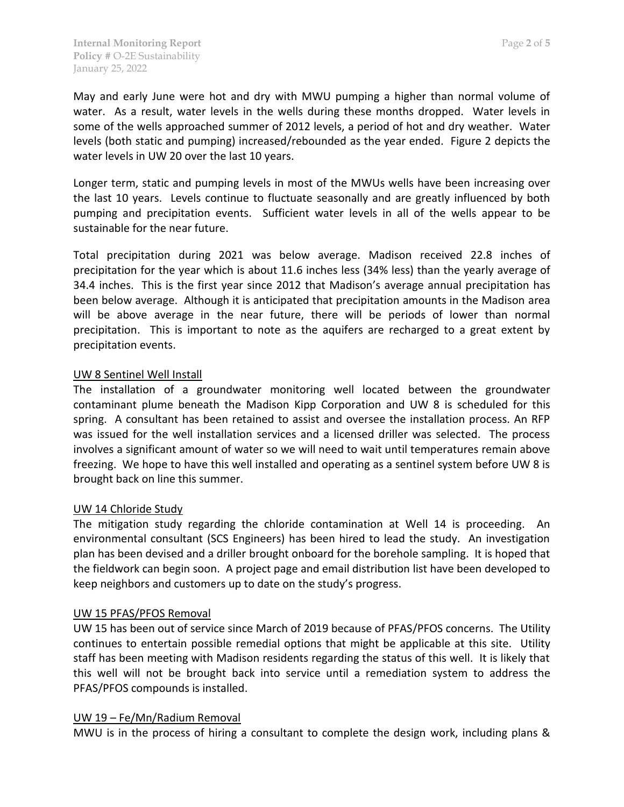May and early June were hot and dry with MWU pumping a higher than normal volume of water. As a result, water levels in the wells during these months dropped. Water levels in some of the wells approached summer of 2012 levels, a period of hot and dry weather. Water levels (both static and pumping) increased/rebounded as the year ended. Figure 2 depicts the water levels in UW 20 over the last 10 years.

Longer term, static and pumping levels in most of the MWUs wells have been increasing over the last 10 years. Levels continue to fluctuate seasonally and are greatly influenced by both pumping and precipitation events. Sufficient water levels in all of the wells appear to be sustainable for the near future.

Total precipitation during 2021 was below average. Madison received 22.8 inches of precipitation for the year which is about 11.6 inches less (34% less) than the yearly average of 34.4 inches. This is the first year since 2012 that Madison's average annual precipitation has been below average. Although it is anticipated that precipitation amounts in the Madison area will be above average in the near future, there will be periods of lower than normal precipitation. This is important to note as the aquifers are recharged to a great extent by precipitation events.

# UW 8 Sentinel Well Install

The installation of a groundwater monitoring well located between the groundwater contaminant plume beneath the Madison Kipp Corporation and UW 8 is scheduled for this spring. A consultant has been retained to assist and oversee the installation process. An RFP was issued for the well installation services and a licensed driller was selected. The process involves a significant amount of water so we will need to wait until temperatures remain above freezing. We hope to have this well installed and operating as a sentinel system before UW 8 is brought back on line this summer.

# UW 14 Chloride Study

The mitigation study regarding the chloride contamination at Well 14 is proceeding. An environmental consultant (SCS Engineers) has been hired to lead the study. An investigation plan has been devised and a driller brought onboard for the borehole sampling. It is hoped that the fieldwork can begin soon. A project page and email distribution list have been developed to keep neighbors and customers up to date on the study's progress.

# UW 15 PFAS/PFOS Removal

UW 15 has been out of service since March of 2019 because of PFAS/PFOS concerns. The Utility continues to entertain possible remedial options that might be applicable at this site. Utility staff has been meeting with Madison residents regarding the status of this well. It is likely that this well will not be brought back into service until a remediation system to address the PFAS/PFOS compounds is installed.

## UW 19 – Fe/Mn/Radium Removal

MWU is in the process of hiring a consultant to complete the design work, including plans &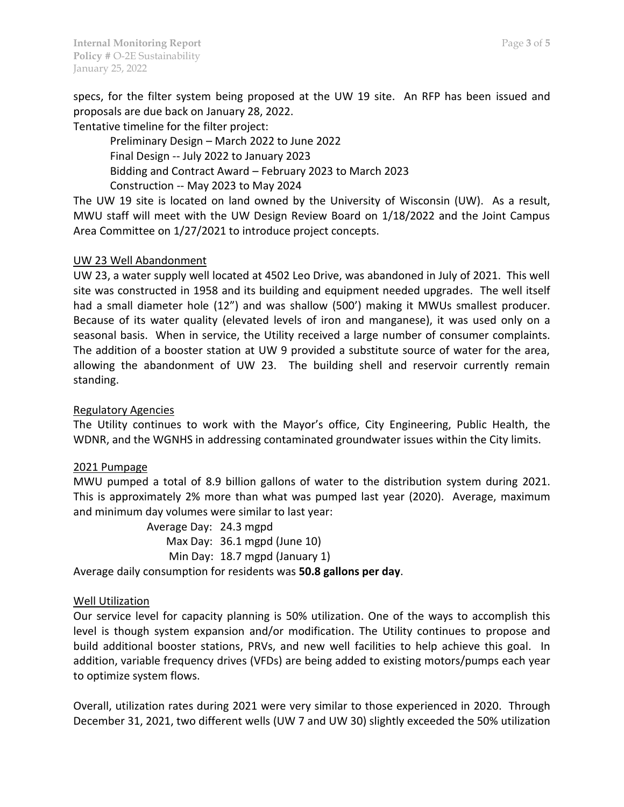specs, for the filter system being proposed at the UW 19 site. An RFP has been issued and proposals are due back on January 28, 2022.

Tentative timeline for the filter project:

Preliminary Design – March 2022 to June 2022 Final Design -- July 2022 to January 2023 Bidding and Contract Award – February 2023 to March 2023 Construction -- May 2023 to May 2024

The UW 19 site is located on land owned by the University of Wisconsin (UW). As a result, MWU staff will meet with the UW Design Review Board on 1/18/2022 and the Joint Campus Area Committee on 1/27/2021 to introduce project concepts.

# UW 23 Well Abandonment

UW 23, a water supply well located at 4502 Leo Drive, was abandoned in July of 2021. This well site was constructed in 1958 and its building and equipment needed upgrades. The well itself had a small diameter hole (12") and was shallow (500') making it MWUs smallest producer. Because of its water quality (elevated levels of iron and manganese), it was used only on a seasonal basis. When in service, the Utility received a large number of consumer complaints. The addition of a booster station at UW 9 provided a substitute source of water for the area, allowing the abandonment of UW 23. The building shell and reservoir currently remain standing.

## Regulatory Agencies

The Utility continues to work with the Mayor's office, City Engineering, Public Health, the WDNR, and the WGNHS in addressing contaminated groundwater issues within the City limits.

## 2021 Pumpage

MWU pumped a total of 8.9 billion gallons of water to the distribution system during 2021. This is approximately 2% more than what was pumped last year (2020). Average, maximum and minimum day volumes were similar to last year:

> Average Day: 24.3 mgpd Max Day: 36.1 mgpd (June 10) Min Day: 18.7 mgpd (January 1)

Average daily consumption for residents was **50.8 gallons per day**.

## Well Utilization

Our service level for capacity planning is 50% utilization. One of the ways to accomplish this level is though system expansion and/or modification. The Utility continues to propose and build additional booster stations, PRVs, and new well facilities to help achieve this goal. In addition, variable frequency drives (VFDs) are being added to existing motors/pumps each year to optimize system flows.

Overall, utilization rates during 2021 were very similar to those experienced in 2020. Through December 31, 2021, two different wells (UW 7 and UW 30) slightly exceeded the 50% utilization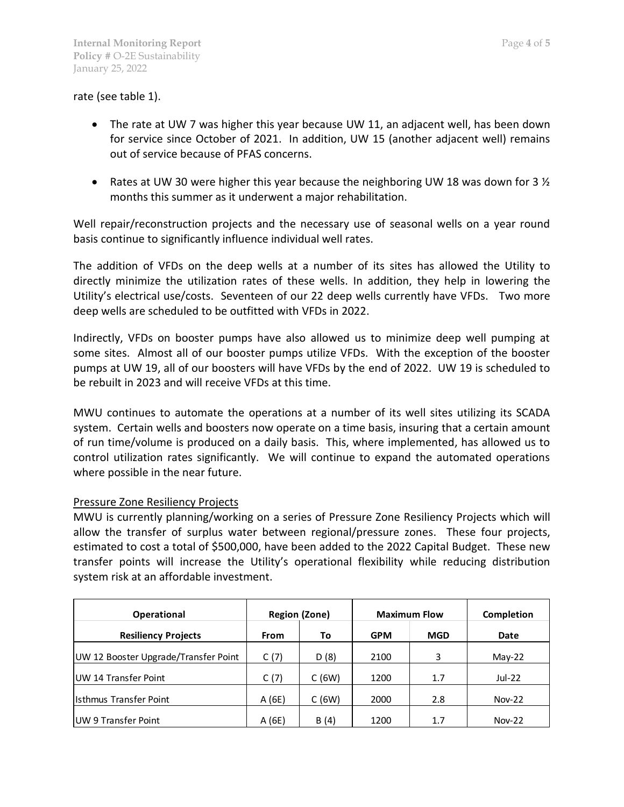## rate (see table 1).

- The rate at UW 7 was higher this year because UW 11, an adjacent well, has been down for service since October of 2021. In addition, UW 15 (another adjacent well) remains out of service because of PFAS concerns.
- Rates at UW 30 were higher this year because the neighboring UW 18 was down for 3  $\frac{1}{2}$ months this summer as it underwent a major rehabilitation.

Well repair/reconstruction projects and the necessary use of seasonal wells on a year round basis continue to significantly influence individual well rates.

The addition of VFDs on the deep wells at a number of its sites has allowed the Utility to directly minimize the utilization rates of these wells. In addition, they help in lowering the Utility's electrical use/costs. Seventeen of our 22 deep wells currently have VFDs. Two more deep wells are scheduled to be outfitted with VFDs in 2022.

Indirectly, VFDs on booster pumps have also allowed us to minimize deep well pumping at some sites. Almost all of our booster pumps utilize VFDs. With the exception of the booster pumps at UW 19, all of our boosters will have VFDs by the end of 2022. UW 19 is scheduled to be rebuilt in 2023 and will receive VFDs at this time.

MWU continues to automate the operations at a number of its well sites utilizing its SCADA system. Certain wells and boosters now operate on a time basis, insuring that a certain amount of run time/volume is produced on a daily basis. This, where implemented, has allowed us to control utilization rates significantly. We will continue to expand the automated operations where possible in the near future.

#### Pressure Zone Resiliency Projects

MWU is currently planning/working on a series of Pressure Zone Resiliency Projects which will allow the transfer of surplus water between regional/pressure zones. These four projects, estimated to cost a total of \$500,000, have been added to the 2022 Capital Budget. These new transfer points will increase the Utility's operational flexibility while reducing distribution system risk at an affordable investment.

| <b>Operational</b>                   | <b>Region (Zone)</b> |       | <b>Maximum Flow</b> |            | Completion |
|--------------------------------------|----------------------|-------|---------------------|------------|------------|
| <b>Resiliency Projects</b>           | <b>From</b>          | To    | <b>GPM</b>          | <b>MGD</b> | Date       |
| UW 12 Booster Upgrade/Transfer Point | C(7)                 | D(8)  | 2100                | 3          | $May-22$   |
| UW 14 Transfer Point                 | C(7)                 | C(6W) | 1200                | 1.7        | Jul-22     |
| <b>Isthmus Transfer Point</b>        | A(6E)                | C(6W) | 2000                | 2.8        | $Nov-22$   |
| UW 9 Transfer Point                  | A (6E)               | B(4)  | 1200                | 1.7        | $Nov-22$   |